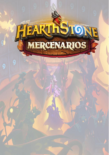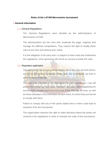## **Rules of the LATAM Mercenaries tournament**

#### 1.**General information**

#### 1.1. General Regulations

The General Regulations were decided by the administrators of Mercenarios LATAM.

The administrators are the ones who moderate the page, organize and manage the different competitions. They reserve the right to modify these rules at any time and without prior notice.

It is the obligation of all users and / or players to have read and understood the regulations, since ignorance will not be an excuse to break the rules.

## 1.2. Regulation application

The users of the site accept each and every one of the rules set forth herein, as well as the general conditions of use and rules of behavior set forth in other sections of the site.

The new rules indicated in the information for each tournament / cup will prevail over those set forth here. Therefore, the user, when registering for tournaments, accepts each and every one of the rules set out here, as well as those indicated in the information of each event, for which they are forced to comply with them.

Failure to comply with any of the points stated here or there could lead to expulsion from the tournament.

The organization reserves the right to make decisions about the points not covered in the regulations in order to maintain the order of the tournament.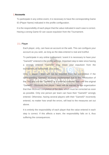## 2.**Accounts**

To participate in any online event, it is necessary to have the corresponding Game ID (Player Name) indicated in the profile configuration.

It is the responsibility of each player that the value indicated in each case is correct. Having a wrong Game ID can cause expulsion from the Tournament.

## 2.1. Player

Each player, only, can have an account on the web. This can configure your account as you wish, as long as the data entered is real and truthful.

To participate in any online tournament / event it is necessary to have your "GameID" entered in the profile settings. Important step to take since having a wrongly entered "GameID" may mean your expulsion from the tournament, or failing that, your team.

Only, a player / team will not be expelled from the competition if the corresponding "GameID" is poorly implemented due to the introduction of the TAG and not the "GameID" or a minimal character flaw over the original "GameID". Obviously this player / team will be warned by the organization that their incorrect completion of the data, which must be corrected as soon as possible. Only one person per team can have their "GameID" wrongly entered. Otherwise, having several players with their "GameID" incorrectly entered, no matter how small the errors, will lead to the measures set out above.

It is entirely the responsibility of each player that the value entered in each step is correct. If this affects a team, the responsibility falls on it, thus suffering the consequences.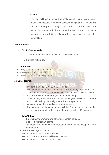## 2.1.1. Game ID's

The user will have to have a Battlenet account. To participate in any event it is necessary to have the corresponding Game ID (Battletag) indicated in the profile configuration. It is the responsibility of each player that the value indicated in each case is correct. Having a wrongly completed Game ID can lead to expulsion from the competition.

# 3.**Tournaments**

# 3.1. ONLINE game mode

- The tournament format will be in COMMANDERS mode
- All rounds will be Bo3

## 3.2**Suspenders**

- Angry Chicken (LEVEL 15 to 20)
- Innkeeper (LEVEL 24 to 29)
- Legend (LEVEL 30 with equipment)

# 3.3.**Game format.**

- The format will be "COMMANDER" mode.
- The commander mode is made up of 2 mandatory mercenaries that CANNOT rotate in the alignments, which will be the "COMMANDERS".
- you must have 3 forced changes in the other lineups.
- When an alignment wins this one has to change to the second one and so on until finishing the 3 alignments that were presented.
- You cannot use the same lineup more than once.
- The starting time between games will be 5 minutes, to choose the mercenary team and for the start of the game it will be 10 minutes.

# **EXAMPLES**:

- **2 mercenary commanders**, always present in all teams
- 3 different Mercenary teams.
- Each team must have different mercenary combinations except for the 2 commanders

**Commanders**: Xyrella Cariel

**Team 1**: Samuro, Thrall, Mukla, Tamsin,

**Team 2**: Tyrande, Cornelius, Millhouse, Tasmin

**Team 3**: Samuro, Cornelius, Mukla, Thrall.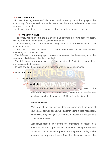#### 3.4. **Disconnections**.

- In case of having more than 5 disconnections in a row by one of the 2 players, the total victory of the match will be awarded to the participant who had no disconnections or fewer disconnections.

- All this must be demonstrated by screenshots to the tournament organizers.

## 3.5. Winner of a match

- The victory will be given to the player who has defeated the entire opposing team, itself to the 6 rival mercenaries in each confrontation.

- The total victory of the confrontation will be given in case of a disconnection of 10 minutes or more.

- Defeat occurs when a player has no more mercenaries to play and the last mercenary or commander dies.

- The defeat occurs when a player chooses a wrong team that has already used the game and it is delivered directly to the rival.

- The defeat occurs when a player has a disconnection of 10 minutes or more, there it is considered total defeat.

- In case of a tie, the confrontation is repeated with the same alignments

## 4.Match procedure

# 4.1. Before the match



When a tournament starts, the match is automatically created on the web where players can speak through comments to resolve any questions, see the other player's "Battletag", match time, etc.

# 4.1.2. Timeout / no show

When one of the two players does not show up, 15 minutes of courtesy are allowed to show up. If after this time it does not appear, a default victory (defwin) will be awarded to the player who is present in that confrontation.

Said player present must inform the organizers, by means of a protest of the type "Opponent not presented", letting the referees know that his rival has not appeared and they act accordingly. The referees can request evidence from the player who opens the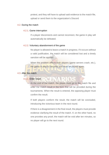protest, and they will have to upload said evidence to the match file, upload or send them to the organization's Discord

#### 4.2. During the match

#### 4.2.1. Game interruption

If a player disconnects and cannot reconnect, the game in play will automatically be defeated.

#### 4.2.2. Voluntary abandonment of the game

No player is allowed to leave a match in progress. If it occurs without a valid justification, the match will be considered lost and a timely sanction will be applied.

When the problem affects both players (game servers crash, etc.), the game in play is canceled and must be played again.

#### 4.3. After the match

# 4.3.1. Enter result

At the end of the match, the player must go to the match file and enter the match result in the form that will be provided during the tournaments. When the result is entered, the opposing player must confirm the result.

If both players conform the result, the match will be concluded, introducing the victorious team in the next round.

If there is a disagreement in the final result, the players must provide evidence clarifying the result of the match. If, on the other hand, no one provides any proof, the match will be void after ten minutes, so no player will go to the next round.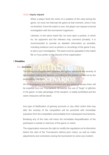#### 4.3.2. Inquiry request

When a player feels the victim of a violation of the rules during the game, he must not interrupt the game at that moment, since it has not finished. Once the match is over, the player can request a formal investigation with the tournament organizers.

Likewise, in the same match file, he must open a protest, in which he, his opponent and the referees may comment privately. It is recommended to provide as detailed information as possible, including evidence such as photos or recordings of the game if any, to aid in your investigation. The tests must be uploaded in the match file or if you prefer to the Discord of the organization.

## 5.**Penalties**

5.1. Sanctions

The tournament organization reserves the right to determine the severity of the sanction making the decision according to the actions carried out by the participating members.

All cheat programs are totally prohibited and any player who uses them will be expelled from our Tournament. Of course, the use of "bugs" or glitches in the game, to take advantage of the situation, is totally prohibited and the same measures will be taken.

Any type of falsification of gaming accounts or any other action that may alter the veracity of the competition will be punished with immediate expulsion from the competition and probably from subsequent tournaments.

Breaking any of the rules will mean the immediate disqualification of the participant or partial or total loss of the game or match.

The organization reserves the right to modify the regulations at its discretion before the start of the Tournament without prior notice, as well as make adjustments and corrections during the tournament to solve any incident.